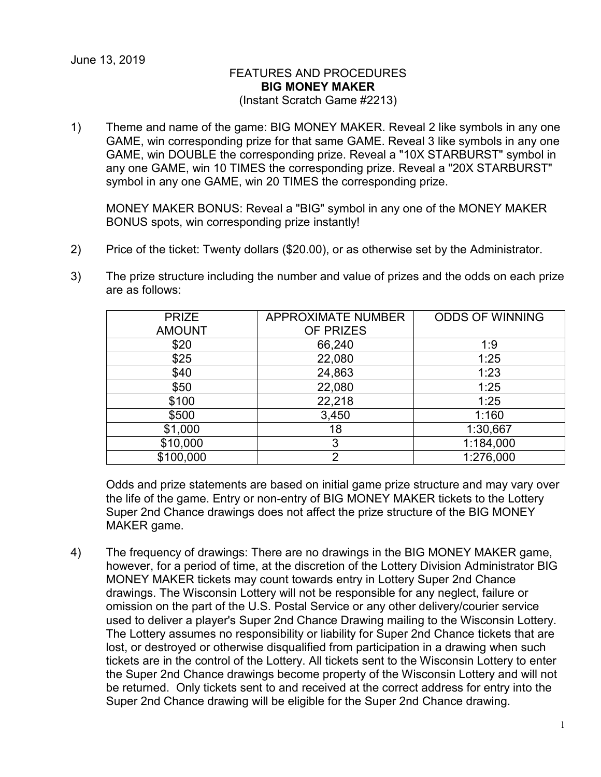## FEATURES AND PROCEDURES **BIG MONEY MAKER** (Instant Scratch Game #2213)

1) Theme and name of the game: BIG MONEY MAKER. Reveal 2 like symbols in any one GAME, win corresponding prize for that same GAME. Reveal 3 like symbols in any one GAME, win DOUBLE the corresponding prize. Reveal a "10X STARBURST" symbol in any one GAME, win 10 TIMES the corresponding prize. Reveal a "20X STARBURST" symbol in any one GAME, win 20 TIMES the corresponding prize.

MONEY MAKER BONUS: Reveal a "BIG" symbol in any one of the MONEY MAKER BONUS spots, win corresponding prize instantly!

- 2) Price of the ticket: Twenty dollars (\$20.00), or as otherwise set by the Administrator.
- 3) The prize structure including the number and value of prizes and the odds on each prize are as follows:

| <b>PRIZE</b>  | <b>APPROXIMATE NUMBER</b> | <b>ODDS OF WINNING</b> |
|---------------|---------------------------|------------------------|
| <b>AMOUNT</b> | OF PRIZES                 |                        |
| \$20          | 66,240                    | 1:9                    |
| \$25          | 22,080                    | 1:25                   |
| \$40          | 24,863                    | 1:23                   |
| \$50          | 22,080                    | 1:25                   |
| \$100         | 22,218                    | 1:25                   |
| \$500         | 3,450                     | 1:160                  |
| \$1,000       | 18                        | 1:30,667               |
| \$10,000      | 3                         | 1:184,000              |
| \$100,000     | 2                         | 1:276,000              |

Odds and prize statements are based on initial game prize structure and may vary over the life of the game. Entry or non-entry of BIG MONEY MAKER tickets to the Lottery Super 2nd Chance drawings does not affect the prize structure of the BIG MONEY MAKER game.

4) The frequency of drawings: There are no drawings in the BIG MONEY MAKER game, however, for a period of time, at the discretion of the Lottery Division Administrator BIG MONEY MAKER tickets may count towards entry in Lottery Super 2nd Chance drawings. The Wisconsin Lottery will not be responsible for any neglect, failure or omission on the part of the U.S. Postal Service or any other delivery/courier service used to deliver a player's Super 2nd Chance Drawing mailing to the Wisconsin Lottery. The Lottery assumes no responsibility or liability for Super 2nd Chance tickets that are lost, or destroyed or otherwise disqualified from participation in a drawing when such tickets are in the control of the Lottery. All tickets sent to the Wisconsin Lottery to enter the Super 2nd Chance drawings become property of the Wisconsin Lottery and will not be returned. Only tickets sent to and received at the correct address for entry into the Super 2nd Chance drawing will be eligible for the Super 2nd Chance drawing.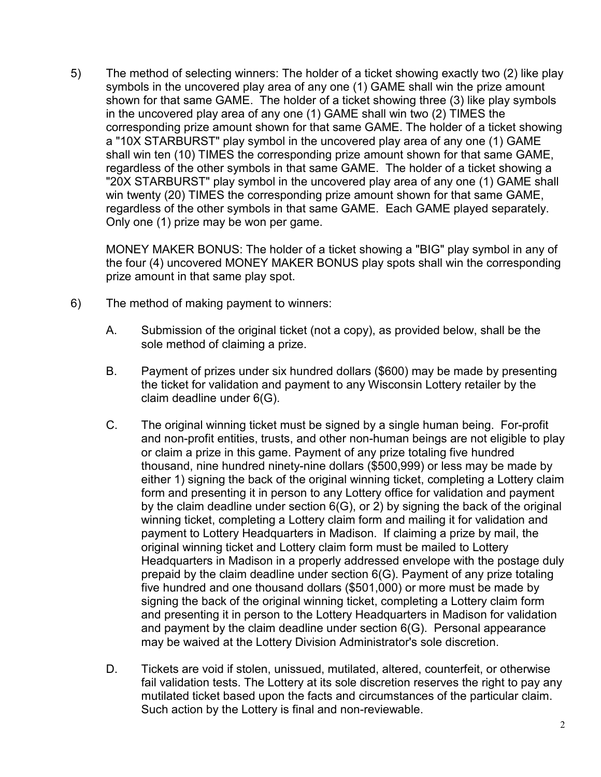5) The method of selecting winners: The holder of a ticket showing exactly two (2) like play symbols in the uncovered play area of any one (1) GAME shall win the prize amount shown for that same GAME. The holder of a ticket showing three (3) like play symbols in the uncovered play area of any one (1) GAME shall win two (2) TIMES the corresponding prize amount shown for that same GAME. The holder of a ticket showing a "10X STARBURST" play symbol in the uncovered play area of any one (1) GAME shall win ten (10) TIMES the corresponding prize amount shown for that same GAME, regardless of the other symbols in that same GAME. The holder of a ticket showing a "20X STARBURST" play symbol in the uncovered play area of any one (1) GAME shall win twenty (20) TIMES the corresponding prize amount shown for that same GAME, regardless of the other symbols in that same GAME. Each GAME played separately. Only one (1) prize may be won per game.

MONEY MAKER BONUS: The holder of a ticket showing a "BIG" play symbol in any of the four (4) uncovered MONEY MAKER BONUS play spots shall win the corresponding prize amount in that same play spot.

- 6) The method of making payment to winners:
	- A. Submission of the original ticket (not a copy), as provided below, shall be the sole method of claiming a prize.
	- B. Payment of prizes under six hundred dollars (\$600) may be made by presenting the ticket for validation and payment to any Wisconsin Lottery retailer by the claim deadline under 6(G).
	- C. The original winning ticket must be signed by a single human being. For-profit and non-profit entities, trusts, and other non-human beings are not eligible to play or claim a prize in this game. Payment of any prize totaling five hundred thousand, nine hundred ninety-nine dollars (\$500,999) or less may be made by either 1) signing the back of the original winning ticket, completing a Lottery claim form and presenting it in person to any Lottery office for validation and payment by the claim deadline under section 6(G), or 2) by signing the back of the original winning ticket, completing a Lottery claim form and mailing it for validation and payment to Lottery Headquarters in Madison. If claiming a prize by mail, the original winning ticket and Lottery claim form must be mailed to Lottery Headquarters in Madison in a properly addressed envelope with the postage duly prepaid by the claim deadline under section 6(G). Payment of any prize totaling five hundred and one thousand dollars (\$501,000) or more must be made by signing the back of the original winning ticket, completing a Lottery claim form and presenting it in person to the Lottery Headquarters in Madison for validation and payment by the claim deadline under section 6(G). Personal appearance may be waived at the Lottery Division Administrator's sole discretion.
	- D. Tickets are void if stolen, unissued, mutilated, altered, counterfeit, or otherwise fail validation tests. The Lottery at its sole discretion reserves the right to pay any mutilated ticket based upon the facts and circumstances of the particular claim. Such action by the Lottery is final and non-reviewable.